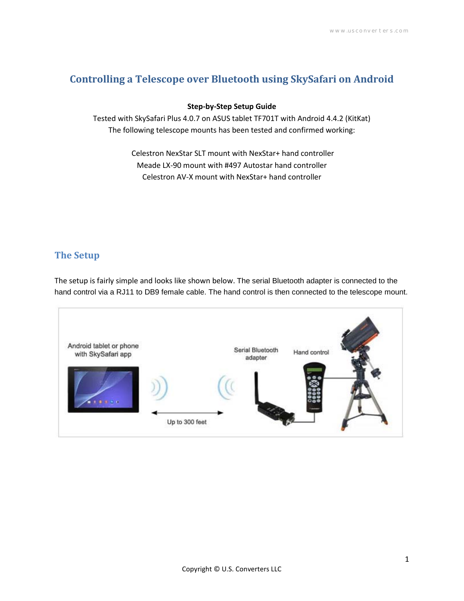# **Controlling a Telescope over Bluetooth using SkySafari on Android**

#### **Step-by-Step Setup Guide**

Tested with SkySafari Plus 4.0.7 on ASUS tablet TF701T with Android 4.4.2 (KitKat) The following telescope mounts has been tested and confirmed working:

> Celestron NexStar SLT mount with NexStar+ hand controller Meade LX-90 mount with #497 Autostar hand controller Celestron AV-X mount with NexStar+ hand controller

### **The Setup**

The setup is fairly simple and looks like shown below. The serial Bluetooth adapter is connected to the hand control via a RJ11 to DB9 female cable. The hand control is then connected to the telescope mount.

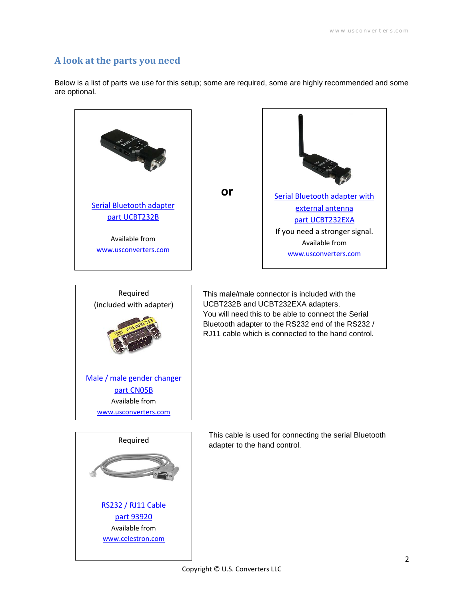#### **A look at the parts you need**

[RS232 / RJ11 Cable](http://www.celestron.com/browse-shop/astronomy/accessories/cables/nexstar-rs-232-cable) [part 93920](http://www.celestron.com/browse-shop/astronomy/accessories/cables/nexstar-rs-232-cable) Available from [www.celestron.com](http://www.celestron.com/)

Below is a list of parts we use for this setup; some are required, some are highly recommended and some are optional.

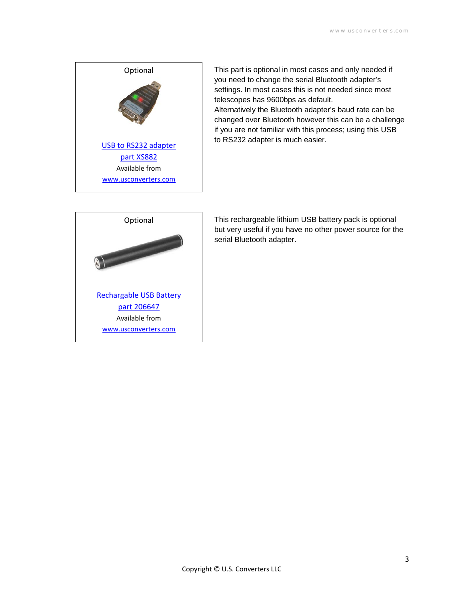

This part is optional in most cases and only needed if you need to change the serial Bluetooth adapter's settings. In most cases this is not needed since most telescopes has 9600bps as default. Alternatively the Bluetooth adapter's baud rate can be changed over Bluetooth however this can be a challenge if you are not familiar with this process; using this USB to RS232 adapter is much easier.



This rechargeable lithium USB battery pack is optional but very useful if you have no other power source for the serial Bluetooth adapter.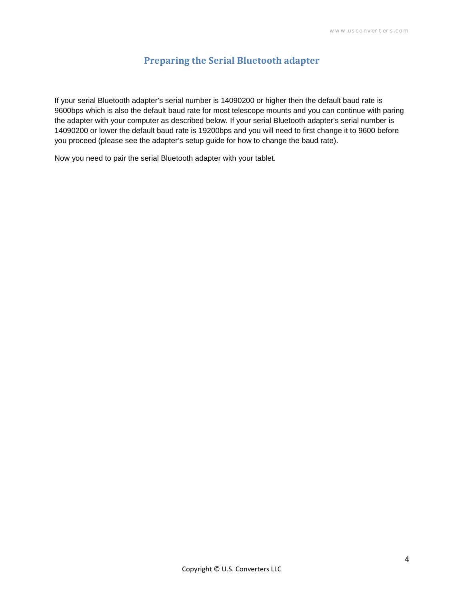### **Preparing the Serial Bluetooth adapter**

If your serial Bluetooth adapter's serial number is 14090200 or higher then the default baud rate is 9600bps which is also the default baud rate for most telescope mounts and you can continue with paring the adapter with your computer as described below. If your serial Bluetooth adapter's serial number is 14090200 or lower the default baud rate is 19200bps and you will need to first change it to 9600 before you proceed (please see the adapter's setup guide for how to change the baud rate).

Now you need to pair the serial Bluetooth adapter with your tablet.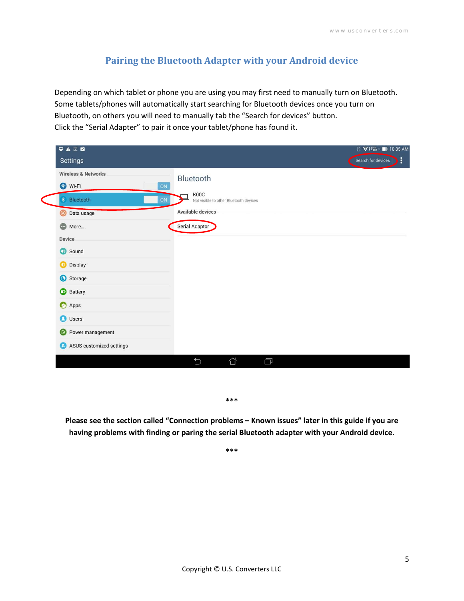### **Pairing the Bluetooth Adapter with your Android device**

Depending on which tablet or phone you are using you may first need to manually turn on Bluetooth. Some tablets/phones will automatically start searching for Bluetooth devices once you turn on Bluetooth, on others you will need to manually tab the "Search for devices" button. Click the "Serial Adapter" to pair it once your tablet/phone has found it.

| $\Psi$ $\triangle$ $\Xi$ $\triangle$                                                                                                                                                                                                                   | <b>B 令: H</b> 10:35 AM                                                                             |
|--------------------------------------------------------------------------------------------------------------------------------------------------------------------------------------------------------------------------------------------------------|----------------------------------------------------------------------------------------------------|
| Settings                                                                                                                                                                                                                                               | Search for devices                                                                                 |
| <b>Wireless &amp; Networks</b><br>S Wi-Fi<br>ON<br><b>*</b> Bluetooth<br>ON<br><b>O</b> Data usage<br>More<br>Device<br>Sound<br><b>Display</b><br>Storage<br><b>Battery</b><br>Apps<br><b>O</b> Users<br>Power management<br>ASUS customized settings | Bluetooth<br>K00C<br>Not visible to other Bluetooth devices<br>Available devices<br>Serial Adaptor |

**\*\*\*** 

**Please see the section called "Connection problems – Known issues" later in this guide if you are having problems with finding or paring the serial Bluetooth adapter with your Android device.**

**\*\*\***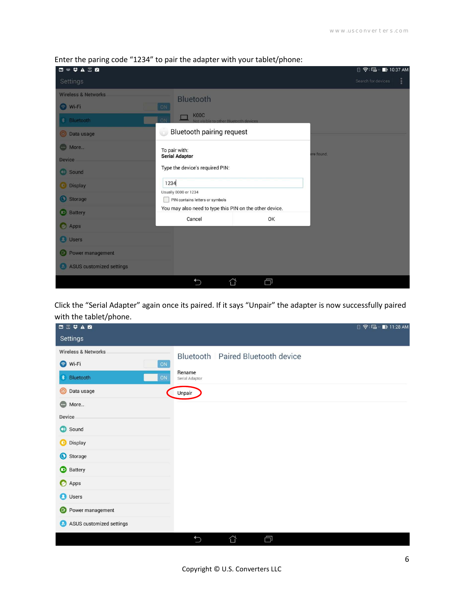| □■♥▲三宮                         |                                                              |    |            | <b>图 令 届 ■ 10:37 AM</b> |
|--------------------------------|--------------------------------------------------------------|----|------------|-------------------------|
| Settings                       |                                                              |    |            | Search for devices<br>÷ |
| <b>Wireless &amp; Networks</b> | Bluetooth                                                    |    |            |                         |
| O Wi-Fi                        | ON                                                           |    |            |                         |
| * Bluetooth                    | <b>K00C</b><br>ON<br>ot visible to other Bluetooth devices   |    |            |                         |
| <b>O</b> Data usage            | Bluetooth pairing request<br>ú,                              |    |            |                         |
| More                           | To pair with:                                                |    |            |                         |
| <b>Device</b>                  | <b>Serial Adaptor</b>                                        |    | ere found. |                         |
| <b>Sound</b>                   | Type the device's required PIN:                              |    |            |                         |
| <b>Display</b>                 | 1234                                                         |    |            |                         |
| Storage                        | Usually 0000 or 1234<br>PIN contains letters or symbols<br>m |    |            |                         |
| <b>Battery</b>                 | You may also need to type this PIN on the other device.      |    |            |                         |
|                                | Cancel                                                       | OK |            |                         |
| <b>O</b> Apps                  |                                                              |    |            |                         |
| <b>B</b> Users                 |                                                              |    |            |                         |
| Power management<br>l Dr.      |                                                              |    |            |                         |
| ASUS customized settings       |                                                              |    |            |                         |
|                                | ⇧<br>$\bigcirc$                                              | Ċ  |            |                         |

Enter the paring code "1234" to pair the adapter with your tablet/phone:

Click the "Serial Adapter" again once its paired. If it says "Unpair" the adapter is now successfully paired with the tablet/phone.

| ◘ 董 ♥ ▲ ■                      |                          |                                   | <b>日今届 ■11:28 AM</b> |
|--------------------------------|--------------------------|-----------------------------------|----------------------|
| Settings                       |                          |                                   |                      |
| <b>Wireless &amp; Networks</b> |                          | Bluetooth Paired Bluetooth device |                      |
| Wi-Fi<br>ON                    |                          |                                   |                      |
| <b>*</b> Bluetooth<br>ON       | Rename<br>Serial Adaptor |                                   |                      |
| $\circledcirc$<br>Data usage   | Unpair                   |                                   |                      |
| Comp More                      |                          |                                   |                      |
| Device                         |                          |                                   |                      |
| Sound                          |                          |                                   |                      |
| <b>D</b> Display               |                          |                                   |                      |
| Storage                        |                          |                                   |                      |
| <b>Battery</b>                 |                          |                                   |                      |
| Apps                           |                          |                                   |                      |
| <b>O</b> Users                 |                          |                                   |                      |
| <b>C</b> Power management      |                          |                                   |                      |
| ASUS customized settings       |                          |                                   |                      |
|                                | $\bigcup$                | Ġ<br>⇧                            |                      |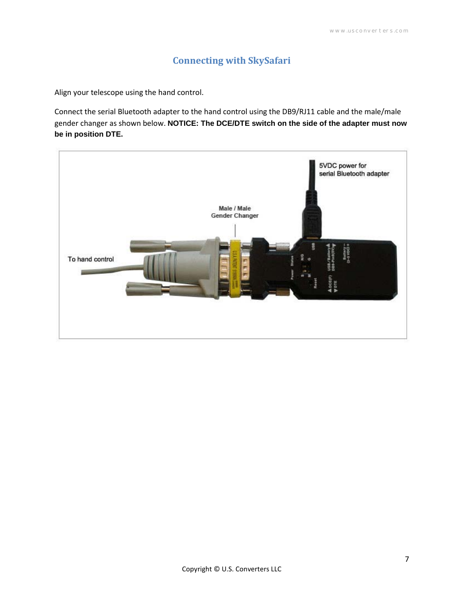## **Connecting with SkySafari**

Align your telescope using the hand control.

Connect the serial Bluetooth adapter to the hand control using the DB9/RJ11 cable and the male/male gender changer as shown below. **NOTICE: The DCE/DTE switch on the side of the adapter must now be in position DTE.**

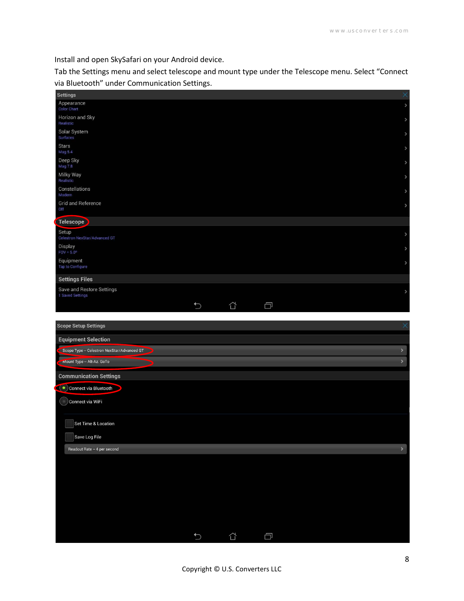Install and open SkySafari on your Android device.

Tab the Settings menu and select telescope and mount type under the Telescope menu. Select "Connect via Bluetooth" under Communication Settings.

| <b>Settings</b>                               |               |   |        | $\times$                      |
|-----------------------------------------------|---------------|---|--------|-------------------------------|
| Appearance<br><b>Color Chart</b>              |               |   |        | $\,$                          |
| Horizon and Sky<br>Realistic                  |               |   |        | $\,$                          |
| Solar System<br>Surfaces                      |               |   |        | $\,$                          |
| <b>Stars</b><br>Mag 5.4                       |               |   |        | $\,$                          |
| Deep Sky<br>Mag 7.8                           |               |   |        | $\,$                          |
| Milky Way<br>Realistic                        |               |   |        |                               |
| Constellations<br>Modern                      |               |   |        | $\,$                          |
| <b>Grid and Reference</b><br>Off              |               |   |        | $\,$                          |
| Telescope                                     |               |   |        |                               |
| Setup<br>Celestron NexStar/Advanced GT        |               |   |        | $\,$                          |
| Display<br>$FOV = 5.0^\circ$                  |               |   |        | $\,$                          |
| Equipment<br>Tap to Configure                 |               |   |        | $\,$                          |
| <b>Settings Files</b>                         |               |   |        |                               |
| Save and Restore Settings<br>1 Saved Settings |               |   |        | $\rightarrow$                 |
|                                               | $\biguparrow$ | ⇧ | $\Box$ |                               |
|                                               |               |   |        |                               |
| <b>Scope Setup Settings</b>                   |               |   |        | $\times$                      |
| <b>Equipment Selection</b>                    |               |   |        |                               |
| Scope Type - Celestron NexStar/Advanced GT    |               |   |        | ×<br>$\overline{\phantom{0}}$ |
| Mount Type - Alt-Az. GoTo                     |               |   |        |                               |
| <b>Communication Settings</b>                 |               |   |        |                               |
| Connect via Bluetooth                         |               |   |        |                               |
| Connect via WiFi<br>U.                        |               |   |        |                               |
| Set Time & Location                           |               |   |        |                               |
| Save Log File                                 |               |   |        |                               |
| Readout Rate - 4 per second                   |               |   |        | ×                             |
|                                               |               |   |        |                               |
|                                               |               |   |        |                               |
|                                               |               |   |        |                               |
|                                               |               |   |        |                               |
|                                               |               |   |        |                               |
|                                               |               |   |        |                               |
|                                               |               |   |        |                               |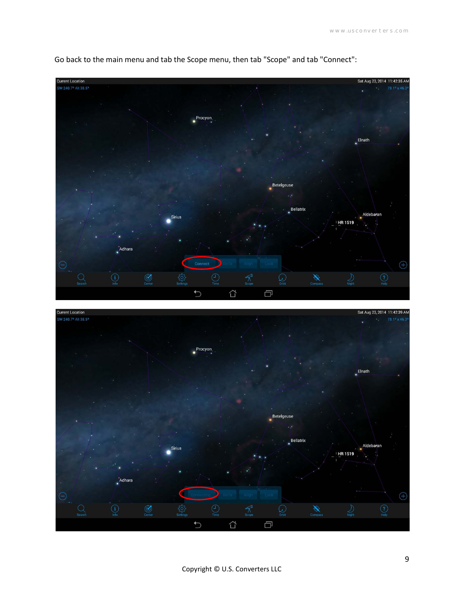

Go back to the main menu and tab the Scope menu, then tab "Scope" and tab "Connect":

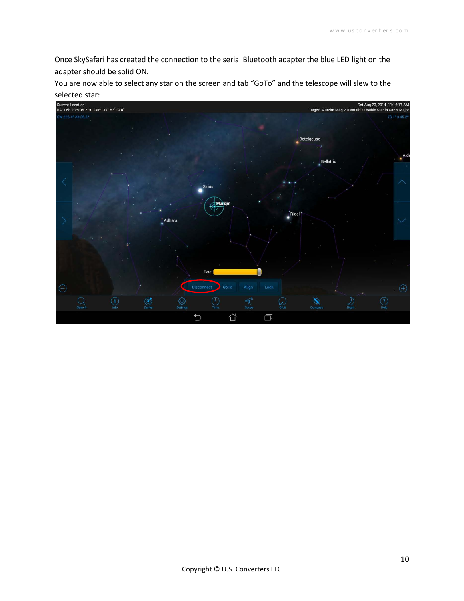Once SkySafari has created the connection to the serial Bluetooth adapter the blue LED light on the adapter should be solid ON.

You are now able to select any star on the screen and tab "GoTo" and the telescope will slew to the

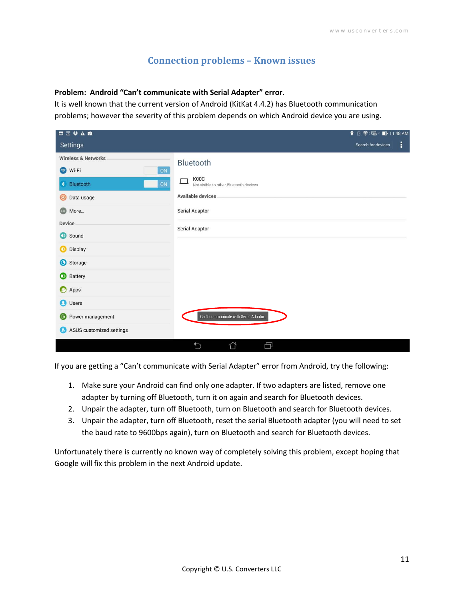#### **Connection problems – Known issues**

#### **Problem: Android "Can't communicate with Serial Adapter" error.**

It is well known that the current version of Android (KitKat 4.4.2) has Bluetooth communication problems; however the severity of this problem depends on which Android device you are using.

| 四三字五章                                                                                                                                | ? 8 < 11:48 AM                                                                                                              |
|--------------------------------------------------------------------------------------------------------------------------------------|-----------------------------------------------------------------------------------------------------------------------------|
| Settings                                                                                                                             | ŧ<br>Search for devices                                                                                                     |
| <b>Wireless &amp; Networks</b><br>Wi-Fi<br>$\odot$<br>ON<br><b>*</b> Bluetooth<br>ON<br>Data usage<br>$\odot$<br>⊕<br>More<br>Device | Bluetooth<br>K00C<br>Not visible to other Bluetooth devices<br><b>Available devices</b><br>Serial Adaptor<br>Serial Adaptor |
| Sound<br>$\bigcirc$<br><b>D</b> Display<br>Storage<br><b>Battery</b><br>Apps                                                         |                                                                                                                             |
| <b>O</b> Users<br>Power management<br>$\circ$<br>ASUS customized settings<br>$\boldsymbol{\omega}$                                   | Can't communicate with Serial Adaptor.<br>Ó<br>⇧<br>$\bigcirc$                                                              |

If you are getting a "Can't communicate with Serial Adapter" error from Android, try the following:

- 1. Make sure your Android can find only one adapter. If two adapters are listed, remove one adapter by turning off Bluetooth, turn it on again and search for Bluetooth devices.
- 2. Unpair the adapter, turn off Bluetooth, turn on Bluetooth and search for Bluetooth devices.
- 3. Unpair the adapter, turn off Bluetooth, reset the serial Bluetooth adapter (you will need to set the baud rate to 9600bps again), turn on Bluetooth and search for Bluetooth devices.

Unfortunately there is currently no known way of completely solving this problem, except hoping that Google will fix this problem in the next Android update.